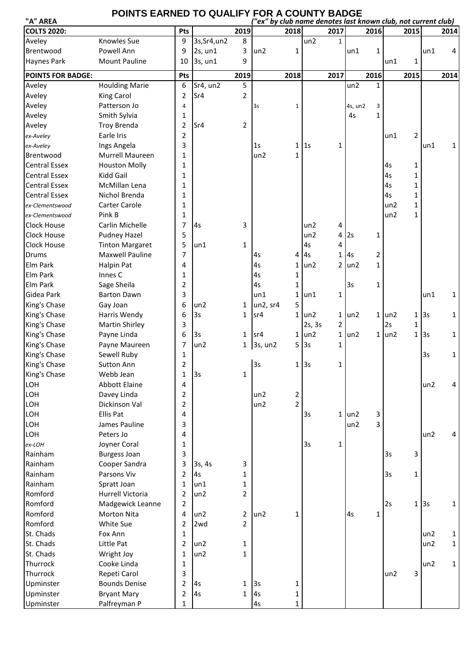## **POINTS EARNED TO QUALIFY FOR A COUNTY BADGE**

| "A" AREA                 |                        |                |              |                | "ex" by club name denotes last known club, not current club) |                |            |                |                 |              |            |                |     |              |
|--------------------------|------------------------|----------------|--------------|----------------|--------------------------------------------------------------|----------------|------------|----------------|-----------------|--------------|------------|----------------|-----|--------------|
| <b>COLTS 2020:</b>       |                        | Pts            |              | 2019           |                                                              | 2018           |            | 2017           |                 | 2016         |            | 2015           |     | 2014         |
| Aveley                   | <b>Knowles Sue</b>     | 9              | 3s, Sr4, un2 | 8              |                                                              |                | un2        | $\mathbf{1}$   |                 |              |            |                |     |              |
| Brentwood                | Powell Ann             | 9              | 2s, un1      | 3              | un2                                                          | 1              |            |                | un1             | $\mathbf{1}$ |            |                | un1 | 4            |
| Haynes Park              | <b>Mount Pauline</b>   | 10             | 3s, un1      | 9              |                                                              |                |            |                |                 |              | un1        | 1              |     |              |
| <b>POINTS FOR BADGE:</b> |                        | Pts            |              | 2019           |                                                              | 2018           |            | 2017           |                 | 2016         |            | 2015           |     | 2014         |
| Aveley                   | <b>Houlding Marie</b>  | 6              | Sr4, un2     | 5              |                                                              |                |            |                | un2             | $\mathbf{1}$ |            |                |     |              |
| Aveley                   | King Carol             | $\overline{2}$ | Sr4          | $\overline{2}$ |                                                              |                |            |                |                 |              |            |                |     |              |
| Aveley                   | Patterson Jo           | $\overline{4}$ |              |                | 3s                                                           | $1\,$          |            |                | 4s, un2         | 3            |            |                |     |              |
| Aveley                   | Smith Sylvia           | 1              |              |                |                                                              |                |            |                | 4s              | $\mathbf{1}$ |            |                |     |              |
| Aveley                   | <b>Troy Brenda</b>     | 2              | Sr4          | $\overline{2}$ |                                                              |                |            |                |                 |              |            |                |     |              |
| ex-Aveley                | Earle Iris             | $\overline{2}$ |              |                |                                                              |                |            |                |                 |              | un1        | $\overline{2}$ |     |              |
| ex-Aveley                | Ings Angela            | 3              |              |                | 1s                                                           |                | 1 1s       | 1              |                 |              |            |                | un1 | 1            |
| Brentwood                | Murrell Maureen        | $\mathbf{1}$   |              |                | un2                                                          | $\mathbf{1}$   |            |                |                 |              |            |                |     |              |
| <b>Central Essex</b>     | <b>Houston Molly</b>   | 1              |              |                |                                                              |                |            |                |                 |              | 4s         | $\mathbf{1}$   |     |              |
| <b>Central Essex</b>     | Kidd Gail              | 1              |              |                |                                                              |                |            |                |                 |              | 4s         | $\mathbf{1}$   |     |              |
| <b>Central Essex</b>     | McMillan Lena          | 1              |              |                |                                                              |                |            |                |                 |              | 4s         | $\mathbf{1}$   |     |              |
| <b>Central Essex</b>     | Nichol Brenda          | 1              |              |                |                                                              |                |            |                |                 |              | 4s         | $\mathbf{1}$   |     |              |
| ex-Clementswood          | Carter Carole          | 1              |              |                |                                                              |                |            |                |                 |              | un2        | $\mathbf{1}$   |     |              |
| ex-Clementswood          | Pink B                 | 1              |              |                |                                                              |                |            |                |                 |              | un2        | $\mathbf{1}$   |     |              |
| Clock House              | Carlin Michelle        | 7              | 4s           | 3              |                                                              |                | un2        | 4              |                 |              |            |                |     |              |
| Clock House              | <b>Pudney Hazel</b>    | 5              |              |                |                                                              |                | un2        | 4              | 2s              | 1            |            |                |     |              |
| Clock House              | <b>Tinton Margaret</b> | 5              | un1          | 1              |                                                              |                | 4s         | 4              |                 |              |            |                |     |              |
| Drums                    | Maxwell Pauline        | 7              |              |                | 4s                                                           |                | 4 4s       | 1              | 4s              | 2            |            |                |     |              |
| Elm Park                 | Halpin Pat             | 4              |              |                | 4s                                                           |                | $1$ un2    |                | $2$ un2         | $\mathbf{1}$ |            |                |     |              |
| Elm Park                 | Innes C                | 1              |              |                | 4s                                                           | 1              |            |                |                 |              |            |                |     |              |
| Elm Park                 | Sage Sheila            | $\overline{2}$ |              |                | 4s                                                           | 1              |            |                | 3s              | 1            |            |                |     |              |
| Gidea Park               | <b>Barton Dawn</b>     | 3              |              |                | un1                                                          |                | $1$ un1    | 1              |                 |              |            |                | un1 | $\mathbf{1}$ |
| King's Chase             | Gay Joan               | 6              | un2          | 1              | un2, sr4                                                     | 5              |            |                |                 |              |            |                |     |              |
| King's Chase             | Harris Wendy           | 6              | 3s           | 1              | sr4                                                          |                | $1$ un2    | $\mathbf{1}$   | un <sub>2</sub> |              | $1$ un $2$ | $\mathbf{1}$   | 3s  | $\mathbf{1}$ |
| King's Chase             | <b>Martin Shirley</b>  | 3              |              |                |                                                              |                | 2s, 3s     | $\overline{2}$ |                 |              | 2s         | 1              |     |              |
| King's Chase             | Payne Linda            | 6              | 3s           | 1              | sr4                                                          |                | $1$ un $2$ | 1              | un2             |              | $1$ un $2$ | $\mathbf{1}$   | 3s  | 1            |
| King's Chase             | Payne Maureen          | 7              | un2          | $\mathbf{1}$   | 3s, un2                                                      |                | 5 3s       | 1              |                 |              |            |                |     |              |
| King's Chase             | Sewell Ruby            | 1              |              |                |                                                              |                |            |                |                 |              |            |                | 3s  | 1            |
| King's Chase             | <b>Sutton Ann</b>      | 2              |              |                | 3s                                                           |                | $1$ 3s     | 1              |                 |              |            |                |     |              |
| King's Chase             | Webb Jean              | $\mathbf 1$    | 3s           | 1              |                                                              |                |            |                |                 |              |            |                |     |              |
| LOH                      | <b>Abbott Elaine</b>   | 4              |              |                |                                                              |                |            |                |                 |              |            |                | un2 | 4            |
| LOH                      | Davey Linda            | 2              |              |                | un2                                                          | $\overline{2}$ |            |                |                 |              |            |                |     |              |
| LOH                      | Dickinson Val          | $\overline{2}$ |              |                | un2                                                          | $\overline{2}$ |            |                |                 |              |            |                |     |              |
| LOH                      | Ellis Pat              | 4              |              |                |                                                              |                | 3s         | $\mathbf{1}$   | un <sub>2</sub> | 3            |            |                |     |              |
| LOH                      | James Pauline          | 3              |              |                |                                                              |                |            |                | un2             | 3            |            |                |     |              |
| LOH                      | Peters Jo              | 4              |              |                |                                                              |                |            |                |                 |              |            |                | un2 | 4            |
| ex-LOH                   | Joyner Coral           | 1              |              |                |                                                              |                | 3s         | $\mathbf 1$    |                 |              |            |                |     |              |
| Rainham                  | <b>Burgess Joan</b>    | 3              |              |                |                                                              |                |            |                |                 |              | 3s         | 3              |     |              |
| Rainham                  | Cooper Sandra          | 3              | 3s, 4s       | 3              |                                                              |                |            |                |                 |              |            |                |     |              |
| Rainham                  | Parsons Viv            | $\overline{2}$ | 4s           | 1              |                                                              |                |            |                |                 |              | 3s         | $\mathbf{1}$   |     |              |
| Rainham                  | Spratt Joan            | 1              | un1          | 1              |                                                              |                |            |                |                 |              |            |                |     |              |
| Romford                  | Hurrell Victoria       | 2              | un2          | $\overline{2}$ |                                                              |                |            |                |                 |              |            |                |     |              |
| Romford                  | Madgewick Leanne       | $\overline{2}$ |              |                |                                                              |                |            |                |                 |              | 2s         | $\mathbf{1}$   | 3s  | $\mathbf{1}$ |
| Romford                  | <b>Morton Nita</b>     | 4              | un2          | $\overline{2}$ | un2                                                          | 1              |            |                | 4s              | $\mathbf 1$  |            |                |     |              |
| Romford                  | White Sue              | 2              | 2wd          | $\overline{2}$ |                                                              |                |            |                |                 |              |            |                |     |              |
| St. Chads                | Fox Ann                | 1              |              |                |                                                              |                |            |                |                 |              |            |                | un2 | $\mathbf{1}$ |
| St. Chads                | Little Pat             | 2              | un2          | 1              |                                                              |                |            |                |                 |              |            |                | un2 | $\mathbf{1}$ |
| St. Chads                | Wright Joy             | $\mathbf{1}$   | un2          | $\mathbf{1}$   |                                                              |                |            |                |                 |              |            |                |     |              |
| Thurrock                 | Cooke Linda            | 1              |              |                |                                                              |                |            |                |                 |              |            |                | un2 | $\mathbf{1}$ |
| Thurrock                 | Repeti Carol           | 3              |              |                |                                                              |                |            |                |                 |              | un2        | 3              |     |              |
| Upminster                | <b>Bounds Denise</b>   | 2              | As           | 1              | 3s                                                           | 1              |            |                |                 |              |            |                |     |              |
| Upminster                | <b>Bryant Mary</b>     | 2              | 4s           | $\mathbf{1}$   | 4s                                                           | 1              |            |                |                 |              |            |                |     |              |
| Upminster                | Palfreyman P           | 1              |              |                | 4s                                                           | $\mathbf{1}$   |            |                |                 |              |            |                |     |              |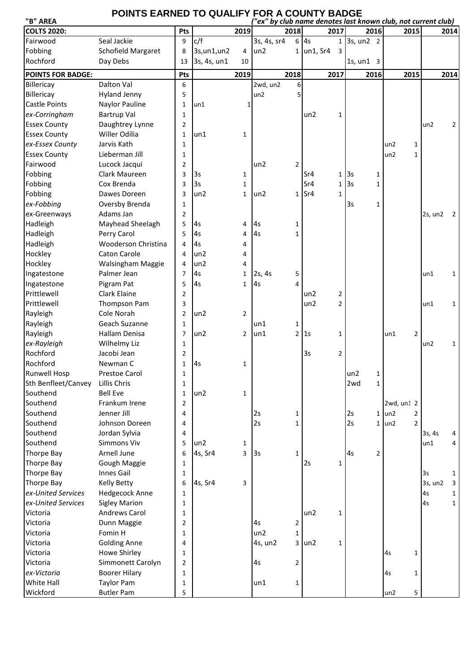## POINTS EARNED TO QUALIFY FOR A COUNTY BADGE

| "B" AREA                 |                            |                |                 |                | "ex" by club name denotes last known club, not current club) |                |              |                |                            |                |            |                |         |      |
|--------------------------|----------------------------|----------------|-----------------|----------------|--------------------------------------------------------------|----------------|--------------|----------------|----------------------------|----------------|------------|----------------|---------|------|
| <b>COLTS 2020:</b>       |                            | Pts            |                 | 2019           |                                                              | 2018           |              | 2017           |                            | 2016           |            | 2015           |         | 2014 |
| Fairwood                 | Seal Jackie                | 9              | c/f             |                | 3s, 4s, sr4                                                  |                | 6 4s         |                | $1$ 3s, un2 2              |                |            |                |         |      |
| Fobbing                  | <b>Schofield Margaret</b>  | 8              | 3s, un1, un2    | 4              | un2                                                          |                | $1$ un1, Sr4 | 3              |                            |                |            |                |         |      |
| Rochford                 | Day Debs                   | 13             | 3s, 4s, un1     | 10             |                                                              |                |              |                | $1s$ , un $1 \overline{3}$ |                |            |                |         |      |
| <b>POINTS FOR BADGE:</b> |                            | Pts            |                 | 2019           |                                                              | 2018           |              | 2017           |                            | 2016           |            | 2015           |         | 2014 |
| Billericay               | Dalton Val                 | 6              |                 |                | 2wd, un2                                                     | 6              |              |                |                            |                |            |                |         |      |
| Billericay               | <b>Hyland Jenny</b>        | 5              |                 |                | un2                                                          |                |              |                |                            |                |            |                |         |      |
| <b>Castle Points</b>     | Naylor Pauline             | 1              | un1             | 1              |                                                              |                |              |                |                            |                |            |                |         |      |
| ex-Corringham            | <b>Bartrup Val</b>         | $\mathbf{1}$   |                 |                |                                                              |                | un2          | 1              |                            |                |            |                |         |      |
| <b>Essex County</b>      | Daughtrey Lynne            | 2              |                 |                |                                                              |                |              |                |                            |                |            |                | un2     | 2    |
| <b>Essex County</b>      | Willer Odilia              | 1              | un1             | 1              |                                                              |                |              |                |                            |                |            |                |         |      |
| ex-Essex County          | Jarvis Kath                | $\mathbf{1}$   |                 |                |                                                              |                |              |                |                            |                | un2        | 1              |         |      |
| <b>Essex County</b>      | Lieberman Jill             | $\mathbf{1}$   |                 |                |                                                              |                |              |                |                            |                | un2        | $\mathbf{1}$   |         |      |
| Fairwood                 | Lucock Jacqui              | $\overline{2}$ |                 |                | un2                                                          | 2              |              |                |                            |                |            |                |         |      |
| Fobbing                  | Clark Maureen              | 3              | 3s              | 1              |                                                              |                | Sr4          |                | 1 3s                       | 1              |            |                |         |      |
| Fobbing                  | Cox Brenda                 | 3              | 3s              | 1              |                                                              |                | Sr4          |                | 1 3s                       | $\mathbf 1$    |            |                |         |      |
| Fobbing                  | Dawes Doreen               | 3              | un2             | $\mathbf{1}$   | un2                                                          |                | $1$ Sr4      | 1              |                            |                |            |                |         |      |
| ex-Fobbing               | Oversby Brenda             | $\mathbf{1}$   |                 |                |                                                              |                |              |                | 3s                         | $\mathbf{1}$   |            |                |         |      |
| ex-Greenways             | Adams Jan                  | 2              |                 |                |                                                              |                |              |                |                            |                |            |                | 2s, un2 | -2   |
| Hadleigh                 | Mayhead Sheelagh           | 5              | l4s             | 4              | 4s                                                           | 1              |              |                |                            |                |            |                |         |      |
| Hadleigh                 | Perry Carol                | 5              | 4s              | 4              | 4s                                                           | 1              |              |                |                            |                |            |                |         |      |
|                          | <b>Wooderson Christina</b> | 4              | 4s              | 4              |                                                              |                |              |                |                            |                |            |                |         |      |
| Hadleigh<br>Hockley      |                            | 4              |                 |                |                                                              |                |              |                |                            |                |            |                |         |      |
|                          | Caton Carole               |                | un <sub>2</sub> | 4              |                                                              |                |              |                |                            |                |            |                |         |      |
| Hockley                  | Walsingham Maggie          | 4              | un2             | 4              |                                                              |                |              |                |                            |                |            |                |         |      |
| Ingatestone              | Palmer Jean                | $\overline{7}$ | 4s              | 1              | 2s, 4s                                                       | 5              |              |                |                            |                |            |                | un1     | 1    |
| Ingatestone              | Pigram Pat                 | 5              | 4s              | 1              | 4s                                                           | 4              |              |                |                            |                |            |                |         |      |
| Prittlewell              | Clark Elaine               | 2              |                 |                |                                                              |                | un2          | 2              |                            |                |            |                |         |      |
| Prittlewell              | Thompson Pam               | 3              |                 |                |                                                              |                | un2          | $\overline{2}$ |                            |                |            |                | un1     | 1    |
| Rayleigh                 | Cole Norah                 | $\overline{2}$ | un2             | $\overline{2}$ |                                                              |                |              |                |                            |                |            |                |         |      |
| Rayleigh                 | Geach Suzanne              | $\mathbf{1}$   |                 |                | un1                                                          | 1              |              |                |                            |                |            |                |         |      |
| Rayleigh                 | Hallam Denisa              | $\overline{7}$ | un2             | $\overline{2}$ | un1                                                          | $\overline{2}$ | l1s          | 1              |                            |                | un1        | $\overline{2}$ |         |      |
| ex-Rayleigh              | Wilhelmy Liz               | 1              |                 |                |                                                              |                |              |                |                            |                |            |                | un2     | 1    |
| Rochford                 | Jacobi Jean                | $\overline{2}$ |                 |                |                                                              |                | 3s           | $\overline{2}$ |                            |                |            |                |         |      |
| Rochford                 | Newman C                   | 1              | As              | 1              |                                                              |                |              |                |                            |                |            |                |         |      |
| <b>Runwell Hosp</b>      | Prestoe Carol              | 1              |                 |                |                                                              |                |              |                | un2                        |                |            |                |         |      |
| Sth Benfleet/Canvey      | Lillis Chris               | 1              |                 |                |                                                              |                |              |                | 2wd                        | $\mathbf{1}$   |            |                |         |      |
| Southend                 | <b>Bell Eve</b>            | 1              | un2             | 1              |                                                              |                |              |                |                            |                |            |                |         |      |
| Southend                 | Frankum Irene              | 2              |                 |                |                                                              |                |              |                |                            |                | 2wd, un1 2 |                |         |      |
| Southend                 | Jenner Jill                | 4              |                 |                | 2s                                                           | 1              |              |                | 2s                         |                | $1$ un $2$ | $\overline{2}$ |         |      |
| Southend                 | Johnson Doreen             | 4              |                 |                | 2s                                                           | 1              |              |                | 2s                         |                | $1$ un $2$ | $\overline{2}$ |         |      |
| Southend                 | Jordan Sylvia              | 4              |                 |                |                                                              |                |              |                |                            |                |            |                | 3s, 4s  | 4    |
| Southend                 | Simmons Viv                | 5              | un2             | 1              |                                                              |                |              |                |                            |                |            |                | un1     | 4    |
| Thorpe Bay               | Arnell June                | 6              | 4s, Sr4         | 3              | 3s                                                           | 1              |              |                | 4s                         | $\overline{2}$ |            |                |         |      |
| Thorpe Bay               | Gough Maggie               | 1              |                 |                |                                                              |                | 2s           | $\mathbf{1}$   |                            |                |            |                |         |      |
| Thorpe Bay               | Innes Gail                 | 1              |                 |                |                                                              |                |              |                |                            |                |            |                | 3s      | 1    |
| Thorpe Bay               | <b>Kelly Betty</b>         | 6              | 4s, Sr4         | 3              |                                                              |                |              |                |                            |                |            |                | 3s, un2 | 3    |
| ex-United Services       | Hedgecock Anne             | $\mathbf{1}$   |                 |                |                                                              |                |              |                |                            |                |            |                | 4s      | 1    |
| ex-United Services       | <b>Sigley Marion</b>       | 1              |                 |                |                                                              |                |              |                |                            |                |            |                | 4s      | 1    |
| Victoria                 | Andrews Carol              | 1              |                 |                |                                                              |                | un2          | 1              |                            |                |            |                |         |      |
| Victoria                 | Dunn Maggie                | 2              |                 |                | 4s                                                           | 2              |              |                |                            |                |            |                |         |      |
| Victoria                 | Fomin H                    | 1              |                 |                | un2                                                          | 1              |              |                |                            |                |            |                |         |      |
| Victoria                 | <b>Golding Anne</b>        | 4              |                 |                | 4s, un2                                                      |                | $3 \mid$ un2 | 1              |                            |                |            |                |         |      |
| Victoria                 | Howe Shirley               | 1              |                 |                |                                                              |                |              |                |                            |                | 4s         | $\mathbf{1}$   |         |      |
| Victoria                 | Simmonett Carolyn          | 2              |                 |                | 4s                                                           | 2              |              |                |                            |                |            |                |         |      |
| ex-Victoria              | <b>Boorer Hilary</b>       | 1              |                 |                |                                                              |                |              |                |                            |                | 4s         | $\mathbf{1}$   |         |      |
| White Hall               | <b>Taylor Pam</b>          | 1              |                 |                | un1                                                          | 1              |              |                |                            |                |            |                |         |      |
| Wickford                 | <b>Butler Pam</b>          | 5              |                 |                |                                                              |                |              |                |                            |                | un2        | 5              |         |      |
|                          |                            |                |                 |                |                                                              |                |              |                |                            |                |            |                |         |      |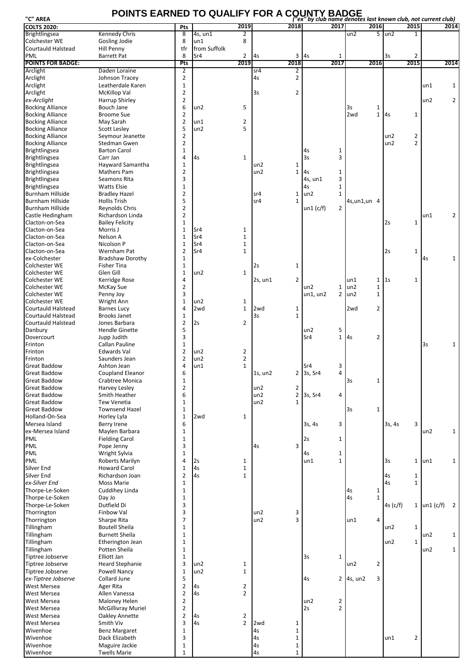## **POINTS EARNED TO QUALIFY FOR A COUNTY BADGE "C" AREA** *("ex" by club name denotes last known club, not current club)*

| .<br><b>COLTS 2020:</b>                            |                                        | Pts                 |              | 2019                         |               | 2018           | cally club hume achotes last known club, not current club,<br>2017 | 2016           |                         | 2015           |           | 2014           |
|----------------------------------------------------|----------------------------------------|---------------------|--------------|------------------------------|---------------|----------------|--------------------------------------------------------------------|----------------|-------------------------|----------------|-----------|----------------|
| <b>Brightlingsea</b>                               | Kennedy Chris                          | 8                   | 4s, un1      | 2                            |               |                |                                                                    | un2            | $5 \text{ un2}$         |                |           |                |
| Colchester WE                                      | Gosling Jodie                          | 8                   | un1          | 8                            |               |                |                                                                    |                |                         |                |           |                |
| Courtauld Halstead                                 | Hill Penny                             | tfr                 | from Suffolk |                              |               |                |                                                                    |                |                         |                |           |                |
| PML                                                | Barrett Pat                            | 8                   | Sr4          | 2                            | 4s            | 3              | 4s<br>1                                                            |                | 3s                      | 2              |           |                |
| <b>POINTS FOR BADGE:</b>                           |                                        | Pts                 |              | 2019                         |               | 2018           | 2017                                                               | 2016           |                         | 2015           |           | 2014           |
| Arclight                                           | Daden Loraine                          | $\overline{2}$      |              |                              | sr4           | 2              |                                                                    |                |                         |                |           |                |
| Arclight                                           | Johnson Tracey                         | $\overline{2}$      |              |                              | 4s            | $\overline{2}$ |                                                                    |                |                         |                |           |                |
| Arclight                                           | Leatherdale Karen                      | $\mathbf{1}$        |              |                              |               |                |                                                                    |                |                         |                | un1       | $\mathbf{1}$   |
| Arclight                                           | McKillop Val                           | $\overline{2}$      |              |                              | 3s            | 2              |                                                                    |                |                         |                |           |                |
| ex-Arclight                                        | Harrup Shirley                         | $\overline{2}$      |              |                              |               |                |                                                                    |                |                         |                | un2       | $\overline{2}$ |
| <b>Bocking Alliance</b>                            | Bouch Jane                             | 6                   | un2          | 5                            |               |                |                                                                    | 3s             | 1                       |                |           |                |
| <b>Bocking Alliance</b>                            | <b>Broome Sue</b>                      | $\overline{2}$      |              |                              |               |                |                                                                    | 2wd            | $\mathbf{1}$<br>4s      | 1              |           |                |
| <b>Bocking Alliance</b>                            | May Sarah<br><b>Scott Lesley</b>       | $\overline{2}$<br>5 | un1<br>un2   | 2<br>5                       |               |                |                                                                    |                |                         |                |           |                |
| <b>Bocking Alliance</b>                            | Seymour Jeanette                       | $\overline{2}$      |              |                              |               |                |                                                                    |                | un2                     | 2              |           |                |
| <b>Bocking Alliance</b><br><b>Bocking Alliance</b> | Stedman Gwen                           | $\overline{2}$      |              |                              |               |                |                                                                    |                | un2                     | $\overline{2}$ |           |                |
| <b>Brightlingsea</b>                               | <b>Barton Carol</b>                    | $\mathbf{1}$        |              |                              |               |                | 4s<br>1                                                            |                |                         |                |           |                |
| <b>Brightlingsea</b>                               | Carr Jan                               | 4                   | 4s           | $\mathbf{1}$                 |               |                | 3<br>3s                                                            |                |                         |                |           |                |
| <b>Brightlingsea</b>                               | Hayward Samantha                       | $\mathbf{1}$        |              |                              | un2           | 1              |                                                                    |                |                         |                |           |                |
| <b>Brightlingsea</b>                               | <b>Mathers Pam</b>                     | 2                   |              |                              | un2           | 1              | 4s<br>1                                                            |                |                         |                |           |                |
| <b>Brightlingsea</b>                               | Seamons Rita                           | 3                   |              |                              |               |                | 3<br>4s, un1                                                       |                |                         |                |           |                |
| <b>Brightlingsea</b>                               | <b>Watts Elsie</b>                     | $\mathbf{1}$        |              |                              |               |                | $\mathbf{1}$<br>4s                                                 |                |                         |                |           |                |
| <b>Burnham Hillside</b>                            | <b>Bradley Hazel</b>                   | $\overline{2}$      |              |                              | sr4           | 1              | un2<br>$\mathbf{1}$                                                |                |                         |                |           |                |
| Burnham Hillside                                   | <b>Hollis Trish</b>                    | 5                   |              |                              | sr4           | $\mathbf{1}$   |                                                                    | 4s, un 1, un 4 |                         |                |           |                |
| Burnham Hillside                                   | Reynolds Chris                         | $\overline{2}$      |              |                              |               |                | $\overline{2}$<br>un1 (c/f)                                        |                |                         |                |           |                |
| Castle Hedingham                                   | Richardson Linda                       | 2                   |              |                              |               |                |                                                                    |                |                         |                | un1       | $\overline{2}$ |
| Clacton-on-Sea                                     | <b>Bailey Felicity</b>                 | $\mathbf{1}$        |              |                              |               |                |                                                                    |                | 2s                      | 1              |           |                |
| Clacton-on-Sea                                     | Morris J                               | $\mathbf{1}$        | Sr4          | $\mathbf{1}$                 |               |                |                                                                    |                |                         |                |           |                |
| Clacton-on-Sea                                     | Nelson A                               | $\mathbf{1}$        | Sr4          | $\mathbf{1}$                 |               |                |                                                                    |                |                         |                |           |                |
| Clacton-on-Sea                                     | Nicolson P                             | $\mathbf{1}$        | Sr4          | $\mathbf{1}$                 |               |                |                                                                    |                |                         |                |           |                |
| Clacton-on-Sea                                     | Wernham Pat                            | $\overline{2}$      | Sr4          | 1                            |               |                |                                                                    |                | 2s                      | 1              |           |                |
| ex-Colchester                                      | <b>Bradshaw Dorothy</b>                | $\mathbf{1}$        |              |                              |               |                |                                                                    |                |                         |                | 4s        | $\mathbf{1}$   |
| Colchester WE                                      | <b>Fisher Tina</b>                     | 1                   |              |                              | 2s            | 1              |                                                                    |                |                         |                |           |                |
| Colchester WE<br>Colchester WE                     | Glen Gill                              | $\mathbf{1}$<br>4   | un2          | 1                            |               | $\overline{2}$ |                                                                    | un1            | $1\,$<br>1 <sub>S</sub> | 1              |           |                |
| Colchester WE                                      | Kerridge Rose<br>McKay Sue             | 2                   |              |                              | $2s$ , un $1$ |                | un2<br>1                                                           | un2            | $\mathbf 1$             |                |           |                |
| Colchester WE                                      | Penny Joy                              | 3                   |              |                              |               |                | un1, un2<br>2                                                      | un2            | $\mathbf{1}$            |                |           |                |
| Colchester WE                                      | Wright Ann                             | $\mathbf{1}$        | un2          | 1                            |               |                |                                                                    |                |                         |                |           |                |
| Courtauld Halstead                                 | <b>Barnes Lucy</b>                     | 4                   | 2wd          | 1                            | 2wd           | 1              |                                                                    | 2wd            | $\overline{2}$          |                |           |                |
| Courtauld Halstead                                 | <b>Brooks Janet</b>                    | $\mathbf{1}$        |              |                              | 3s            | $\mathbf{1}$   |                                                                    |                |                         |                |           |                |
| Courtauld Halstead                                 | Jones Barbara                          | $\overline{2}$      | 2s           | 2                            |               |                |                                                                    |                |                         |                |           |                |
| Danbury                                            | <b>Hendle Ginette</b>                  | 5                   |              |                              |               |                | un2<br>5                                                           |                |                         |                |           |                |
| Dovercourt                                         | Jupp Judith                            | 3                   |              |                              |               |                | $\mathbf{1}$<br>Sr4                                                | 4s             | $\overline{2}$          |                |           |                |
| Frinton                                            | Callan Pauline                         | $\mathbf{1}$        |              |                              |               |                |                                                                    |                |                         |                | 3s        | $\mathbf{1}$   |
| Frinton                                            | Edwards Val                            | $\overline{2}$      | un2          | 2                            |               |                |                                                                    |                |                         |                |           |                |
| Frinton                                            | Saunders Jean                          | $\overline{2}$      | un2          | $\overline{2}$               |               |                |                                                                    |                |                         |                |           |                |
| <b>Great Baddow</b>                                | Ashton Jean                            | 4                   | un1          | $\mathbf{1}$                 |               |                | Sr4<br>3                                                           |                |                         |                |           |                |
| <b>Great Baddow</b>                                | Coupland Eleanor                       | 6                   |              |                              | 1s, un2       | 2              | 3s, Sr4<br>4                                                       |                |                         |                |           |                |
| Great Baddow                                       | Crabtree Monica                        | 1                   |              |                              |               |                |                                                                    | 3s             | 1                       |                |           |                |
| <b>Great Baddow</b>                                | Harvey Lesley                          | $\overline{2}$      |              |                              | un2           | 2              |                                                                    |                |                         |                |           |                |
| <b>Great Baddow</b>                                | Smith Heather                          | 6                   |              |                              | un2           | $\overline{2}$ | 3s, Sr4<br>4                                                       |                |                         |                |           |                |
| <b>Great Baddow</b>                                | <b>Tew Venetia</b>                     | $\mathbf{1}$        |              |                              | un2           | $\mathbf{1}$   |                                                                    |                |                         |                |           |                |
| <b>Great Baddow</b>                                | <b>Townsend Hazel</b>                  | $\mathbf{1}$        |              |                              |               |                |                                                                    | 3s             | $\mathbf{1}$            |                |           |                |
| Holland-On-Sea                                     | Horley Lyla                            | $\mathbf{1}$        | 2wd          | $\mathbf{1}$                 |               |                |                                                                    |                |                         |                |           |                |
| Mersea Island                                      | Berry Irene                            | 6                   |              |                              |               |                | 3s, 4s<br>3                                                        |                | 3s, 4s                  | 3              |           |                |
| ex-Mersea Island                                   | Maylen Barbara                         | $\mathbf{1}$        |              |                              |               |                |                                                                    |                |                         |                | un2       | $\mathbf{1}$   |
| PML<br><b>PML</b>                                  | <b>Fielding Carol</b>                  | $\mathbf{1}$<br>3   |              |                              |               | 3              | 2s<br>$\mathbf{1}$                                                 |                |                         |                |           |                |
| PML                                                | Pope Jenny                             |                     |              |                              | 4s            |                |                                                                    |                |                         |                |           |                |
|                                                    | Wright Sylvia                          | $\mathbf{1}$        |              |                              |               |                | $\mathbf{1}$<br>4s                                                 |                |                         |                |           |                |
| PML<br>Silver End                                  | Roberts Marilyn<br><b>Howard Carol</b> | 4<br>$\mathbf{1}$   | 2s<br>4s     | $\mathbf{1}$<br>$\mathbf{1}$ |               |                | un1<br>$\mathbf{1}$                                                |                | 3s                      | $\mathbf{1}$   | un1       | $\mathbf{1}$   |
| Silver End                                         | Richardson Joan                        | $\overline{2}$      | 4s           | $\mathbf{1}$                 |               |                |                                                                    |                | 4s                      | $\mathbf{1}$   |           |                |
| ex-Silver End                                      | Moss Marie                             | $\mathbf{1}$        |              |                              |               |                |                                                                    |                | 4s                      | $\mathbf{1}$   |           |                |
| Thorpe-Le-Soken                                    | Cuddihey Linda                         | $\mathbf{1}$        |              |                              |               |                |                                                                    | 4s             | $\mathbf{1}$            |                |           |                |
| Thorpe-Le-Soken                                    | Day Jo                                 | $\mathbf{1}$        |              |                              |               |                |                                                                    | 4s             | $\mathbf{1}$            |                |           |                |
| Thorpe-Le-Soken                                    | Dutfield Di                            | 3                   |              |                              |               |                |                                                                    |                | $4s$ (c/f)              | $\mathbf{1}$   | un1 (c/f) | $\overline{2}$ |
| Thorrington                                        | Finbow Val                             | 3                   |              |                              | un2           | 3              |                                                                    |                |                         |                |           |                |
| Thorrington                                        | Sharpe Rita                            | $\overline{7}$      |              |                              | un2           | 3              |                                                                    | un1            | $\overline{4}$          |                |           |                |
| Tillingham                                         | <b>Boutell Sheila</b>                  | 1                   |              |                              |               |                |                                                                    |                | un2                     | $\mathbf{1}$   |           |                |
| Tillingham                                         | <b>Burnett Sheila</b>                  | $\mathbf{1}$        |              |                              |               |                |                                                                    |                |                         |                | un2       | $\mathbf{1}$   |
| Tillingham                                         | Etherington Jean                       | $\mathbf{1}$        |              |                              |               |                |                                                                    |                | un2                     | $\mathbf{1}$   |           |                |
| Tillingham                                         | Potten Sheila                          | $\mathbf{1}$        |              |                              |               |                |                                                                    |                |                         |                | un2       | $\mathbf{1}$   |
| Tiptree Jobserve                                   | Elliott Jan                            | $\mathbf{1}$        |              |                              |               |                | 3s<br>$\mathbf{1}$                                                 |                |                         |                |           |                |
| Tiptree Jobserve                                   | <b>Heard Stephanie</b>                 | 3                   | un2          | $\mathbf{1}$                 |               |                |                                                                    | un2            | $\overline{2}$          |                |           |                |
| Tiptree Jobserve                                   | Powell Nancy                           | $\mathbf{1}$        | un2          | $\mathbf{1}$                 |               |                |                                                                    |                |                         |                |           |                |
| ex-Tiptree Jobserve                                | Collard June                           | 5                   |              |                              |               |                | 4s                                                                 | $2$ 4s, un2    | 3                       |                |           |                |
| West Mersea                                        | Ager Rita                              | $\overline{2}$      | 4s           | $\overline{2}$               |               |                |                                                                    |                |                         |                |           |                |
| West Mersea                                        | Allen Vanessa                          | $\overline{2}$      | 4s           | $\overline{2}$               |               |                |                                                                    |                |                         |                |           |                |
| West Mersea                                        | Maloney Helen                          | $\overline{2}$      |              |                              |               |                | un2<br>2                                                           |                |                         |                |           |                |
| West Mersea                                        | McGillivray Muriel                     | $\overline{2}$      |              |                              |               |                | $\overline{2}$<br>2s                                               |                |                         |                |           |                |
| West Mersea                                        | Oakley Annette                         | $\overline{2}$      | 4s           | 2                            |               |                |                                                                    |                |                         |                |           |                |
| West Mersea                                        | Smith Viv                              | 3                   | 4s           | $\overline{2}$               | 2wd           | 1              |                                                                    |                |                         |                |           |                |
| Wivenhoe                                           | <b>Benz Margaret</b>                   | $\mathbf 1$         |              |                              | 4s            | $\mathbf 1$    |                                                                    |                |                         |                |           |                |
| Wivenhoe                                           | Dack Elizabeth                         | 3                   |              |                              | 4s            | $\mathbf{1}$   |                                                                    |                | un1                     | 2              |           |                |
| Wivenhoe                                           | Maguire Jackie                         | $\mathbf{1}$        |              |                              | 4s            | $\mathbf{1}$   |                                                                    |                |                         |                |           |                |
| Wivenhoe                                           | <b>Twells Marie</b>                    | $\mathbf{1}$        |              |                              | 4s            | $\mathbf{1}$   |                                                                    |                |                         |                |           |                |